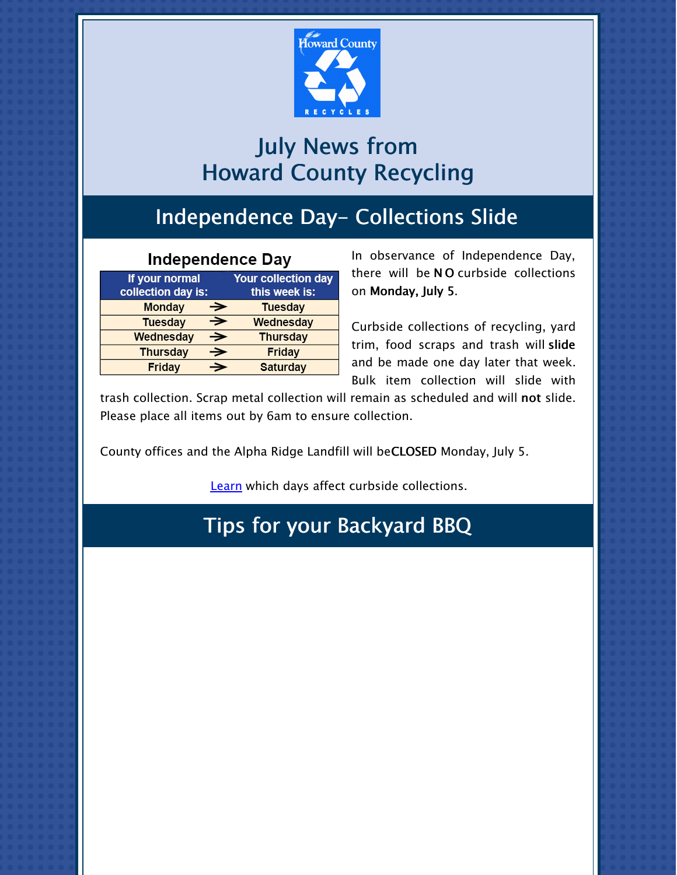

## July News from Howard County Recycling

## Independence Day- Collections Slide

#### **Independence Day**

| If your normal<br>collection day is: |   | Your collection day |  |
|--------------------------------------|---|---------------------|--|
|                                      |   | this week is:       |  |
| <b>Monday</b>                        |   | <b>Tuesday</b>      |  |
| <b>Tuesday</b>                       | → | Wednesday           |  |
| Wednesday                            | → | <b>Thursday</b>     |  |
| <b>Thursday</b>                      | → | <b>Friday</b>       |  |
| <b>Friday</b>                        | ∍ | <b>Saturday</b>     |  |

In observance of Independence Day, there will be NO curbside collections on Monday, July 5.

Curbside collections of recycling, yard trim, food scraps and trash will slide and be made one day later that week. Bulk item collection will slide with

trash collection. Scrap metal collection will remain as scheduled and will not slide. Please place all items out by 6am to ensure collection.

County offices and the Alpha Ridge Landfill will beCLOSED Monday, July 5.

[Learn](https://www.howardcountymd.gov/Departments/Public-Works/Bureau-Of-Environmental-Services/Curbside-Collections/Holiday-Schedule-for-Recycling-Trash) which days affect curbside collections.

### Tips for your Backyard BBQ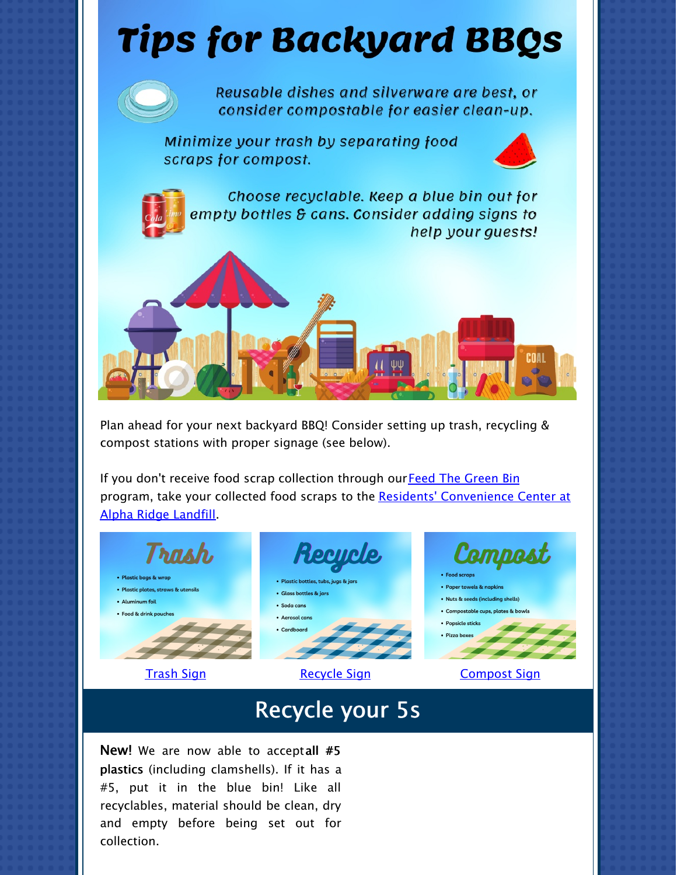# **Tips for Backyard BBQs**



Reusable dishes and silverware are best, or consider compostable for easier clean-up.

Minimize your trash by separating food scraps for compost.



Choose recyclable. Keep a blue bin out for empty bottles & cans. Consider adding signs to help your guests!



Plan ahead for your next backyard BBQ! Consider setting up trash, recycling & compost stations with proper signage (see below).

If you don't receive food scrap collection through our **Feed The [Green](https://www.howardcountymd.gov/public-works/feed-green-bin) Bin** program, take your collected food scraps to the Residents' [Convenience](https://www.howardcountymd.gov/public-works/residents-convenience-center) Center at Alpha Ridge Landfill.







#### **[Trash](https://files.constantcontact.com/b4e85a16401/850ea6dd-bd65-4613-9003-18af49acc9fc.pdf) Sign Compost Sign [Recycle](https://files.constantcontact.com/b4e85a16401/4147c9fe-1444-42f6-81a2-1de174c3c251.pdf) Sign [Compost](https://files.constantcontact.com/b4e85a16401/562ef134-b482-4ed1-aad6-47c20cbcf57c.pdf) Sign**

# Recycle your 5s

New! We are now able to acceptall #5 plastics (including clamshells). If it has a #5, put it in the blue bin! Like all recyclables, material should be clean, dry and empty before being set out for collection.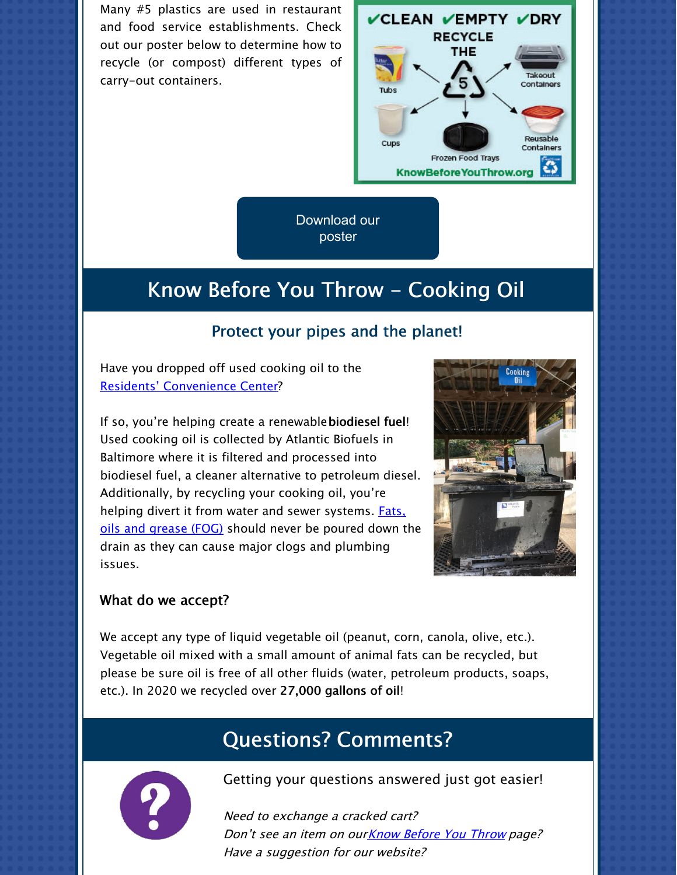Many #5 plastics are used in restaurant and food service establishments. Check out our poster below to determine how to recycle (or compost) different types of carry-out containers.



[Download](https://files.constantcontact.com/b4e85a16401/dbedb150-992d-450b-aaed-939a6146d51f.pdf) our poster

### Know Before You Throw - Cooking Oil

#### Protect your pipes and the planet!

Have you dropped off used cooking oil to the Residents' [Convenience](https://www.howardcountymd.gov/public-works/residents-convenience-center) Center?

If so, you're helping create a renewable biodiesel fuel! Used cooking oil is collected by Atlantic Biofuels in Baltimore where it is filtered and processed into biodiesel fuel, a cleaner alternative to petroleum diesel. Additionally, by recycling your cooking oil, you're helping divert it from water and sewer [systems.](https://www.howardcountymd.gov/public-works/pretreatment-program) Fats, oils and grease (FOG) should never be poured down the drain as they can cause major clogs and plumbing issues.



#### What do we accept?

We accept any type of liquid vegetable oil (peanut, corn, canola, olive, etc.). Vegetable oil mixed with a small amount of animal fats can be recycled, but please be sure oil is free of all other fluids (water, petroleum products, soaps, etc.). In 2020 we recycled over 27,000 gallons of oil!

### Questions? Comments?



Getting your questions answered just got easier!

Need to exchange <sup>a</sup> cracked cart? Don't see an item on our**Know [Before](https://www.howardcountymd.gov/knowbeforeyouthrow) You Throw** page? Have <sup>a</sup> suggestion for our website?